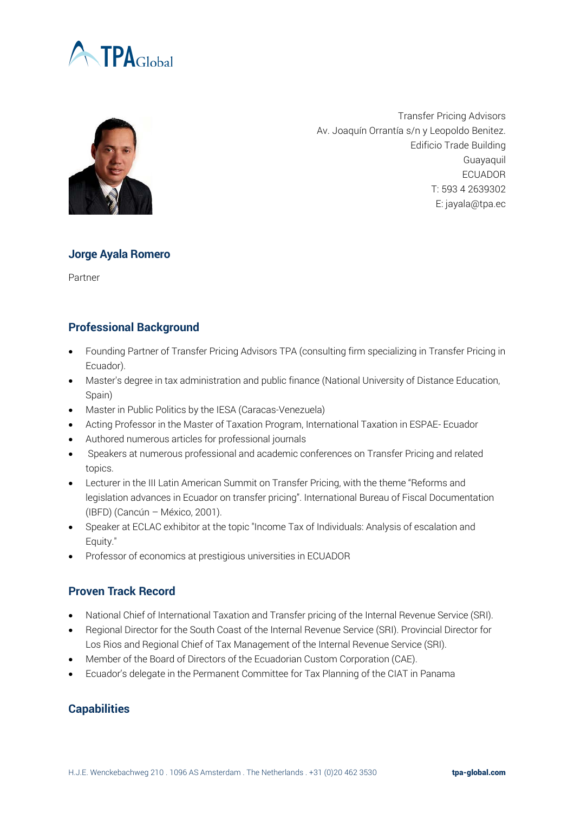



Transfer Pricing Advisors Av. Joaquín Orrantía s/n y Leopoldo Benitez. Edificio Trade Building Guayaquil ECUADOR T: 593 4 2639302 E: jayala@tpa.ec

## **Jorge Ayala Romero**

Partner

## **Professional Background**

- Founding Partner of Transfer Pricing Advisors TPA (consulting firm specializing in Transfer Pricing in Ecuador).
- Master's degree in tax administration and public finance (National University of Distance Education, Spain)
- Master in Public Politics by the IESA (Caracas-Venezuela)
- Acting Professor in the Master of Taxation Program, International Taxation in ESPAE- Ecuador
- Authored numerous articles for professional journals
- Speakers at numerous professional and academic conferences on Transfer Pricing and related topics.
- Lecturer in the III Latin American Summit on Transfer Pricing, with the theme "Reforms and legislation advances in Ecuador on transfer pricing". International Bureau of Fiscal Documentation (IBFD) (Cancún – México, 2001).
- Speaker at ECLAC exhibitor at the topic "Income Tax of Individuals: Analysis of escalation and Equity."
- Professor of economics at prestigious universities in ECUADOR

## **Proven Track Record**

- National Chief of International Taxation and Transfer pricing of the Internal Revenue Service (SRI).
- Regional Director for the South Coast of the Internal Revenue Service (SRI). Provincial Director for Los Rios and Regional Chief of Tax Management of the Internal Revenue Service (SRI).
- Member of the Board of Directors of the Ecuadorian Custom Corporation (CAE).
- Ecuador's delegate in the Permanent Committee for Tax Planning of the CIAT in Panama

## **Capabilities**